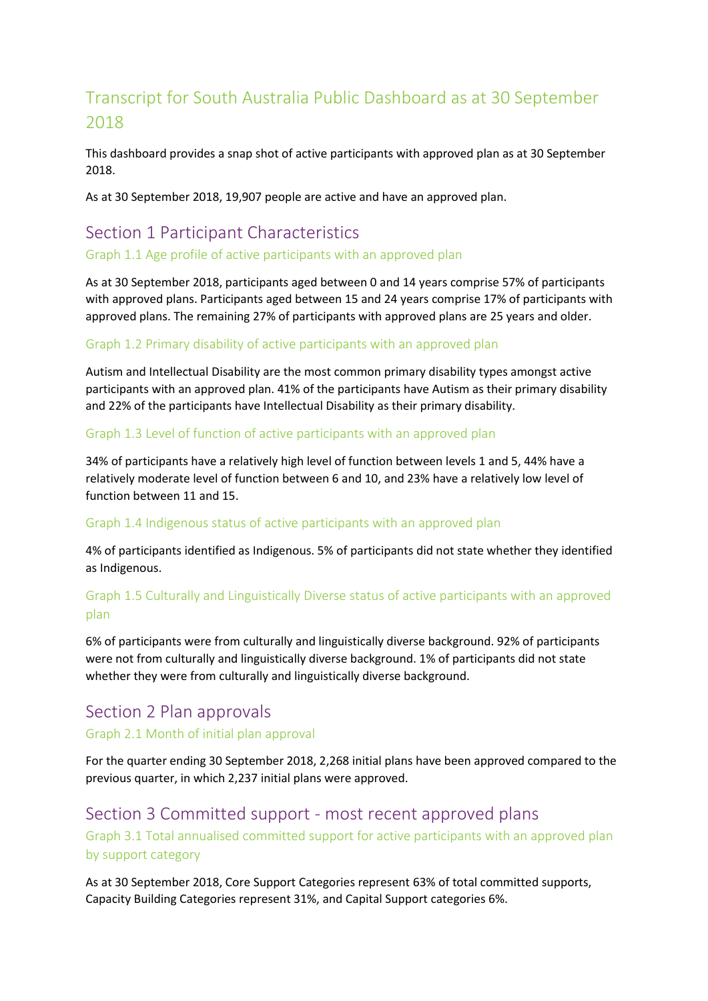# Transcript for South Australia Public Dashboard as at 30 September 2018

This dashboard provides a snap shot of active participants with approved plan as at 30 September 2018.

As at 30 September 2018, 19,907 people are active and have an approved plan.

# Section 1 Participant Characteristics

Graph 1.1 Age profile of active participants with an approved plan

As at 30 September 2018, participants aged between 0 and 14 years comprise 57% of participants with approved plans. Participants aged between 15 and 24 years comprise 17% of participants with approved plans. The remaining 27% of participants with approved plans are 25 years and older.

## Graph 1.2 Primary disability of active participants with an approved plan

Autism and Intellectual Disability are the most common primary disability types amongst active participants with an approved plan. 41% of the participants have Autism as their primary disability and 22% of the participants have Intellectual Disability as their primary disability.

#### Graph 1.3 Level of function of active participants with an approved plan

34% of participants have a relatively high level of function between levels 1 and 5, 44% have a relatively moderate level of function between 6 and 10, and 23% have a relatively low level of function between 11 and 15.

#### Graph 1.4 Indigenous status of active participants with an approved plan

4% of participants identified as Indigenous. 5% of participants did not state whether they identified as Indigenous.

# Graph 1.5 Culturally and Linguistically Diverse status of active participants with an approved plan

6% of participants were from culturally and linguistically diverse background. 92% of participants were not from culturally and linguistically diverse background. 1% of participants did not state whether they were from culturally and linguistically diverse background.

# Section 2 Plan approvals

#### Graph 2.1 Month of initial plan approval

For the quarter ending 30 September 2018, 2,268 initial plans have been approved compared to the previous quarter, in which 2,237 initial plans were approved.

# Section 3 Committed support - most recent approved plans

Graph 3.1 Total annualised committed support for active participants with an approved plan by support category

As at 30 September 2018, Core Support Categories represent 63% of total committed supports, Capacity Building Categories represent 31%, and Capital Support categories 6%.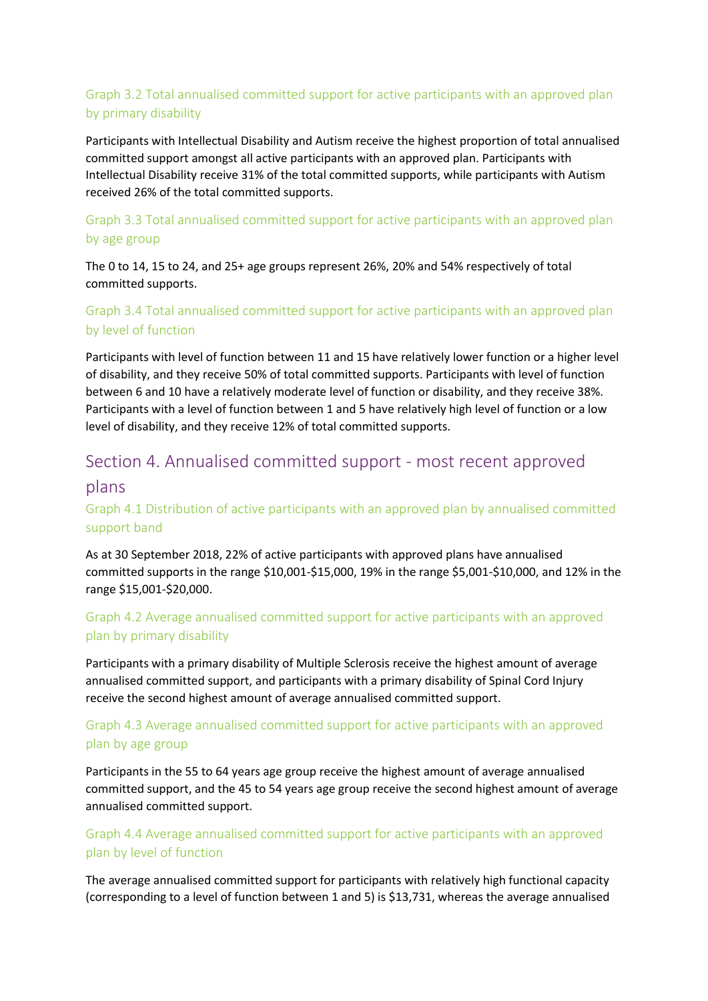# Graph 3.2 Total annualised committed support for active participants with an approved plan by primary disability

Participants with Intellectual Disability and Autism receive the highest proportion of total annualised committed support amongst all active participants with an approved plan. Participants with Intellectual Disability receive 31% of the total committed supports, while participants with Autism received 26% of the total committed supports.

# Graph 3.3 Total annualised committed support for active participants with an approved plan by age group

The 0 to 14, 15 to 24, and 25+ age groups represent 26%, 20% and 54% respectively of total committed supports.

## Graph 3.4 Total annualised committed support for active participants with an approved plan by level of function

Participants with level of function between 11 and 15 have relatively lower function or a higher level of disability, and they receive 50% of total committed supports. Participants with level of function between 6 and 10 have a relatively moderate level of function or disability, and they receive 38%. Participants with a level of function between 1 and 5 have relatively high level of function or a low level of disability, and they receive 12% of total committed supports.

# Section 4. Annualised committed support - most recent approved

#### plans

# Graph 4.1 Distribution of active participants with an approved plan by annualised committed support band

As at 30 September 2018, 22% of active participants with approved plans have annualised committed supports in the range \$10,001-\$15,000, 19% in the range \$5,001-\$10,000, and 12% in the range \$15,001-\$20,000.

## Graph 4.2 Average annualised committed support for active participants with an approved plan by primary disability

Participants with a primary disability of Multiple Sclerosis receive the highest amount of average annualised committed support, and participants with a primary disability of Spinal Cord Injury receive the second highest amount of average annualised committed support.

## Graph 4.3 Average annualised committed support for active participants with an approved plan by age group

Participants in the 55 to 64 years age group receive the highest amount of average annualised committed support, and the 45 to 54 years age group receive the second highest amount of average annualised committed support.

## Graph 4.4 Average annualised committed support for active participants with an approved plan by level of function

The average annualised committed support for participants with relatively high functional capacity (corresponding to a level of function between 1 and 5) is \$13,731, whereas the average annualised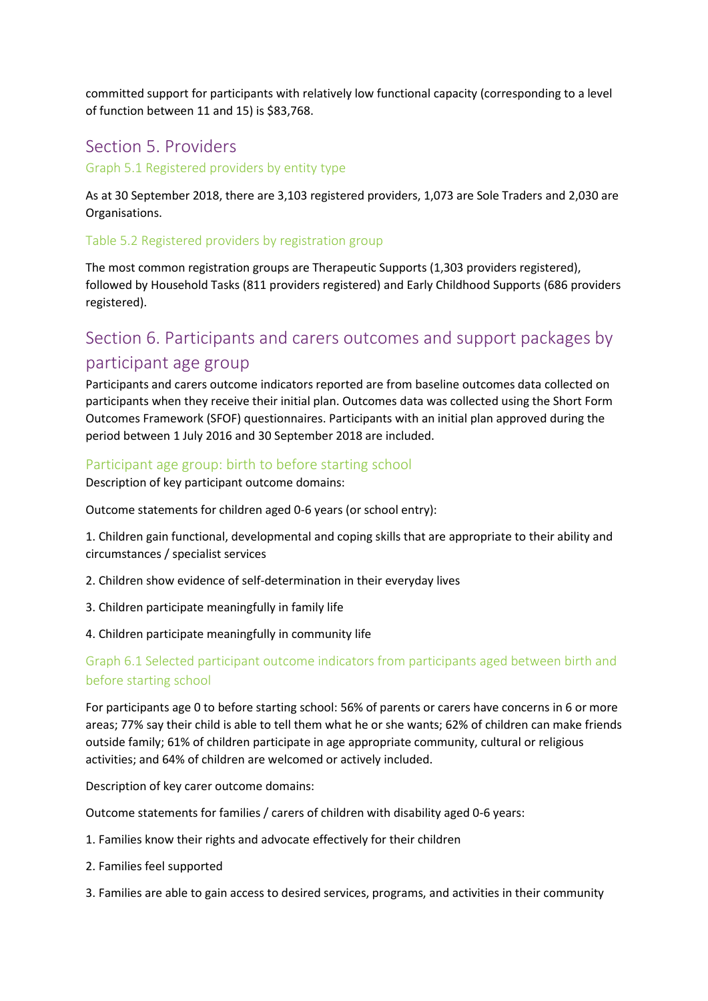committed support for participants with relatively low functional capacity (corresponding to a level of function between 11 and 15) is \$83,768.

# Section 5. Providers

Graph 5.1 Registered providers by entity type

As at 30 September 2018, there are 3,103 registered providers, 1,073 are Sole Traders and 2,030 are Organisations.

#### Table 5.2 Registered providers by registration group

The most common registration groups are Therapeutic Supports (1,303 providers registered), followed by Household Tasks (811 providers registered) and Early Childhood Supports (686 providers registered).

# Section 6. Participants and carers outcomes and support packages by participant age group

Participants and carers outcome indicators reported are from baseline outcomes data collected on participants when they receive their initial plan. Outcomes data was collected using the Short Form Outcomes Framework (SFOF) questionnaires. Participants with an initial plan approved during the period between 1 July 2016 and 30 September 2018 are included.

#### Participant age group: birth to before starting school

Description of key participant outcome domains:

Outcome statements for children aged 0-6 years (or school entry):

1. Children gain functional, developmental and coping skills that are appropriate to their ability and circumstances / specialist services

- 2. Children show evidence of self-determination in their everyday lives
- 3. Children participate meaningfully in family life
- 4. Children participate meaningfully in community life

#### Graph 6.1 Selected participant outcome indicators from participants aged between birth and before starting school

For participants age 0 to before starting school: 56% of parents or carers have concerns in 6 or more areas; 77% say their child is able to tell them what he or she wants; 62% of children can make friends outside family; 61% of children participate in age appropriate community, cultural or religious activities; and 64% of children are welcomed or actively included.

Description of key carer outcome domains:

Outcome statements for families / carers of children with disability aged 0-6 years:

- 1. Families know their rights and advocate effectively for their children
- 2. Families feel supported
- 3. Families are able to gain access to desired services, programs, and activities in their community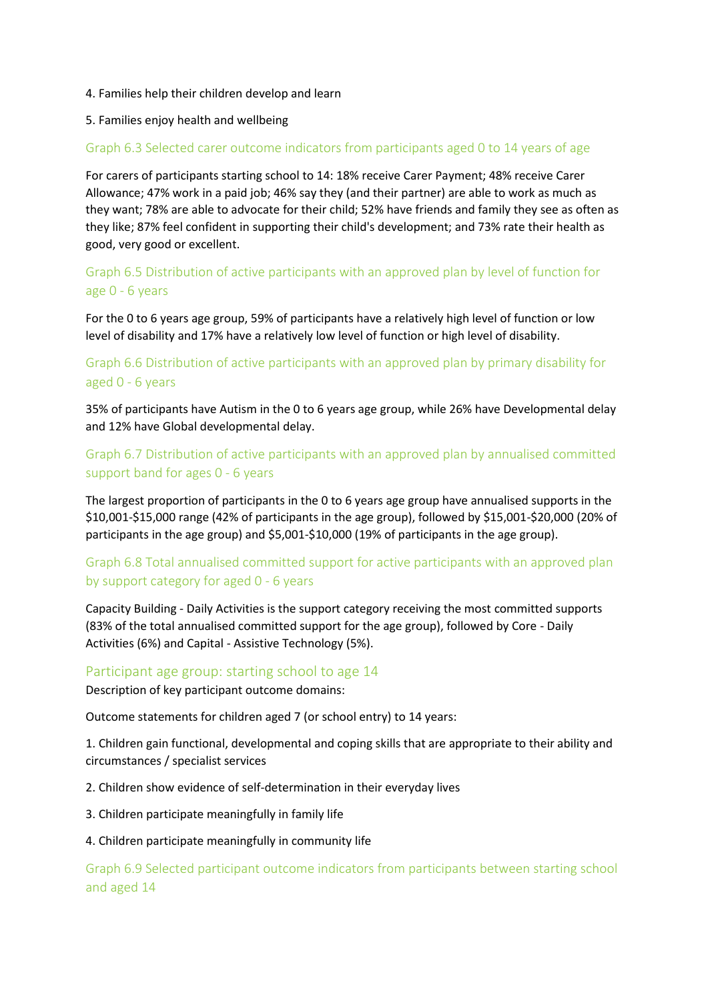#### 4. Families help their children develop and learn

#### 5. Families enjoy health and wellbeing

#### Graph 6.3 Selected carer outcome indicators from participants aged 0 to 14 years of age

For carers of participants starting school to 14: 18% receive Carer Payment; 48% receive Carer Allowance; 47% work in a paid job; 46% say they (and their partner) are able to work as much as they want; 78% are able to advocate for their child; 52% have friends and family they see as often as they like; 87% feel confident in supporting their child's development; and 73% rate their health as good, very good or excellent.

Graph 6.5 Distribution of active participants with an approved plan by level of function for age 0 - 6 years

For the 0 to 6 years age group, 59% of participants have a relatively high level of function or low level of disability and 17% have a relatively low level of function or high level of disability.

## Graph 6.6 Distribution of active participants with an approved plan by primary disability for aged 0 - 6 years

35% of participants have Autism in the 0 to 6 years age group, while 26% have Developmental delay and 12% have Global developmental delay.

## Graph 6.7 Distribution of active participants with an approved plan by annualised committed support band for ages 0 - 6 years

The largest proportion of participants in the 0 to 6 years age group have annualised supports in the \$10,001-\$15,000 range (42% of participants in the age group), followed by \$15,001-\$20,000 (20% of participants in the age group) and \$5,001-\$10,000 (19% of participants in the age group).

## Graph 6.8 Total annualised committed support for active participants with an approved plan by support category for aged 0 - 6 years

Capacity Building - Daily Activities is the support category receiving the most committed supports (83% of the total annualised committed support for the age group), followed by Core - Daily Activities (6%) and Capital - Assistive Technology (5%).

#### Participant age group: starting school to age 14

Description of key participant outcome domains:

Outcome statements for children aged 7 (or school entry) to 14 years:

1. Children gain functional, developmental and coping skills that are appropriate to their ability and circumstances / specialist services

2. Children show evidence of self-determination in their everyday lives

3. Children participate meaningfully in family life

#### 4. Children participate meaningfully in community life

Graph 6.9 Selected participant outcome indicators from participants between starting school and aged 14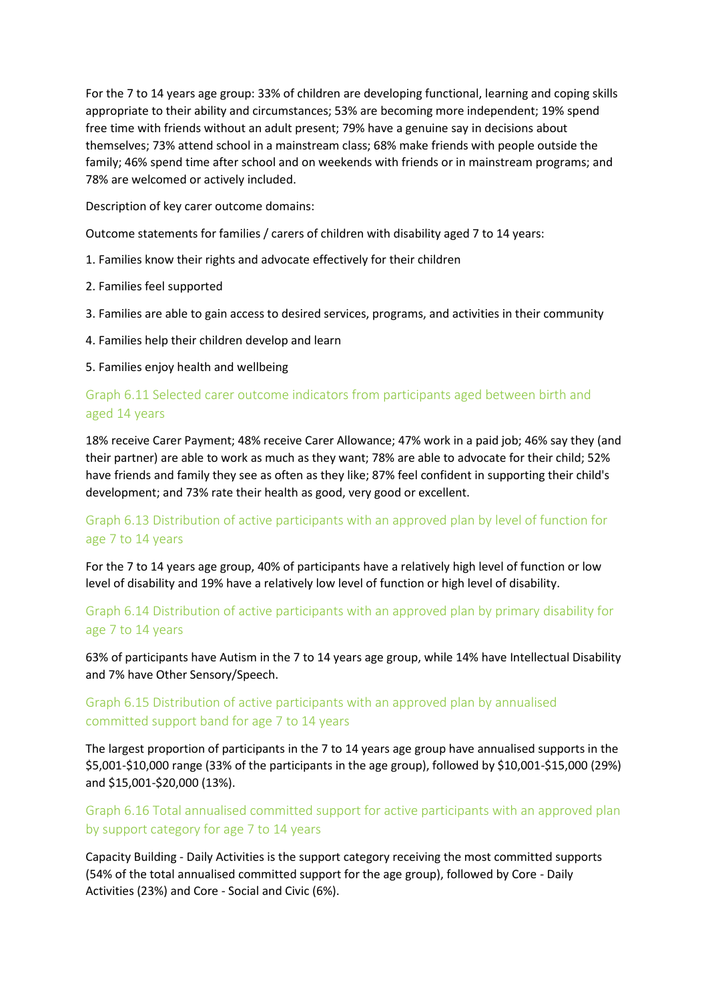For the 7 to 14 years age group: 33% of children are developing functional, learning and coping skills appropriate to their ability and circumstances; 53% are becoming more independent; 19% spend free time with friends without an adult present; 79% have a genuine say in decisions about themselves; 73% attend school in a mainstream class; 68% make friends with people outside the family; 46% spend time after school and on weekends with friends or in mainstream programs; and 78% are welcomed or actively included.

Description of key carer outcome domains:

Outcome statements for families / carers of children with disability aged 7 to 14 years:

- 1. Families know their rights and advocate effectively for their children
- 2. Families feel supported
- 3. Families are able to gain access to desired services, programs, and activities in their community
- 4. Families help their children develop and learn

5. Families enjoy health and wellbeing

#### Graph 6.11 Selected carer outcome indicators from participants aged between birth and aged 14 years

18% receive Carer Payment; 48% receive Carer Allowance; 47% work in a paid job; 46% say they (and their partner) are able to work as much as they want; 78% are able to advocate for their child; 52% have friends and family they see as often as they like; 87% feel confident in supporting their child's development; and 73% rate their health as good, very good or excellent.

## Graph 6.13 Distribution of active participants with an approved plan by level of function for age 7 to 14 years

For the 7 to 14 years age group, 40% of participants have a relatively high level of function or low level of disability and 19% have a relatively low level of function or high level of disability.

## Graph 6.14 Distribution of active participants with an approved plan by primary disability for age 7 to 14 years

63% of participants have Autism in the 7 to 14 years age group, while 14% have Intellectual Disability and 7% have Other Sensory/Speech.

# Graph 6.15 Distribution of active participants with an approved plan by annualised committed support band for age 7 to 14 years

The largest proportion of participants in the 7 to 14 years age group have annualised supports in the \$5,001-\$10,000 range (33% of the participants in the age group), followed by \$10,001-\$15,000 (29%) and \$15,001-\$20,000 (13%).

## Graph 6.16 Total annualised committed support for active participants with an approved plan by support category for age 7 to 14 years

Capacity Building - Daily Activities is the support category receiving the most committed supports (54% of the total annualised committed support for the age group), followed by Core - Daily Activities (23%) and Core - Social and Civic (6%).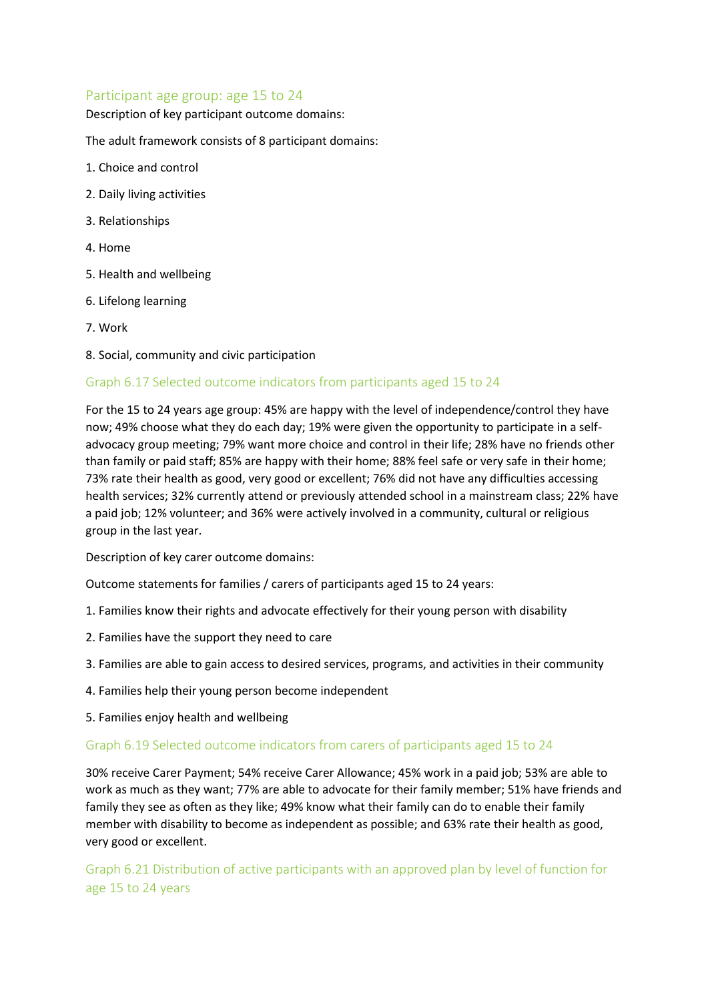#### Participant age group: age 15 to 24

Description of key participant outcome domains:

The adult framework consists of 8 participant domains:

- 1. Choice and control
- 2. Daily living activities
- 3. Relationships
- 4. Home
- 5. Health and wellbeing
- 6. Lifelong learning
- 7. Work
- 8. Social, community and civic participation

#### Graph 6.17 Selected outcome indicators from participants aged 15 to 24

For the 15 to 24 years age group: 45% are happy with the level of independence/control they have now; 49% choose what they do each day; 19% were given the opportunity to participate in a selfadvocacy group meeting; 79% want more choice and control in their life; 28% have no friends other than family or paid staff; 85% are happy with their home; 88% feel safe or very safe in their home; 73% rate their health as good, very good or excellent; 76% did not have any difficulties accessing health services; 32% currently attend or previously attended school in a mainstream class; 22% have a paid job; 12% volunteer; and 36% were actively involved in a community, cultural or religious group in the last year.

Description of key carer outcome domains:

Outcome statements for families / carers of participants aged 15 to 24 years:

- 1. Families know their rights and advocate effectively for their young person with disability
- 2. Families have the support they need to care
- 3. Families are able to gain access to desired services, programs, and activities in their community
- 4. Families help their young person become independent
- 5. Families enjoy health and wellbeing

#### Graph 6.19 Selected outcome indicators from carers of participants aged 15 to 24

30% receive Carer Payment; 54% receive Carer Allowance; 45% work in a paid job; 53% are able to work as much as they want; 77% are able to advocate for their family member; 51% have friends and family they see as often as they like; 49% know what their family can do to enable their family member with disability to become as independent as possible; and 63% rate their health as good, very good or excellent.

Graph 6.21 Distribution of active participants with an approved plan by level of function for age 15 to 24 years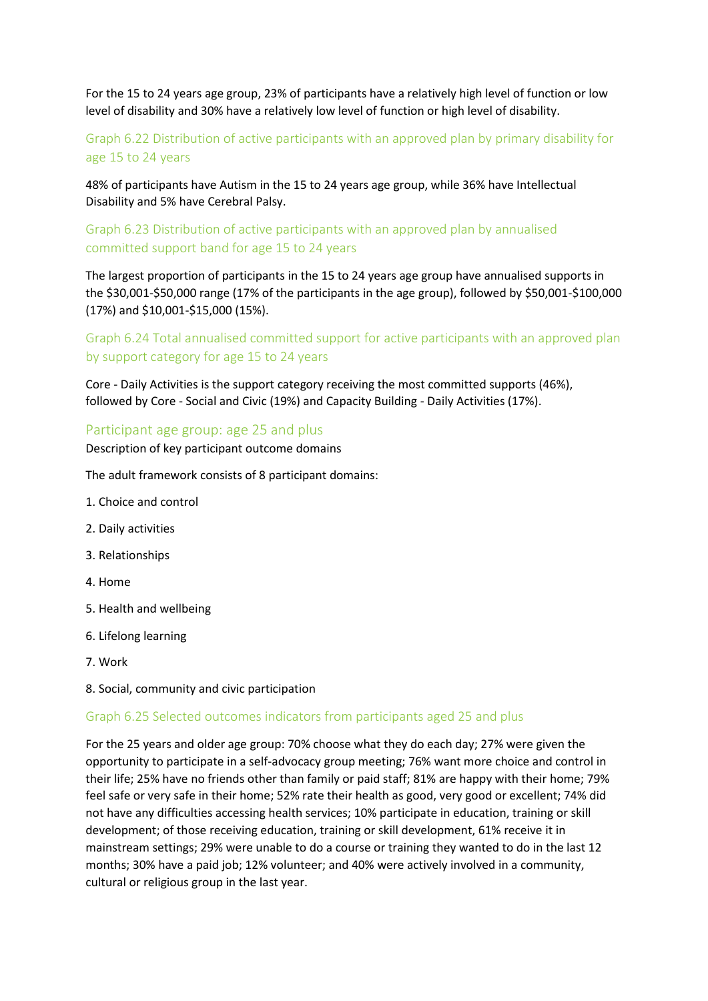For the 15 to 24 years age group, 23% of participants have a relatively high level of function or low level of disability and 30% have a relatively low level of function or high level of disability.

# Graph 6.22 Distribution of active participants with an approved plan by primary disability for age 15 to 24 years

48% of participants have Autism in the 15 to 24 years age group, while 36% have Intellectual Disability and 5% have Cerebral Palsy.

#### Graph 6.23 Distribution of active participants with an approved plan by annualised committed support band for age 15 to 24 years

The largest proportion of participants in the 15 to 24 years age group have annualised supports in the \$30,001-\$50,000 range (17% of the participants in the age group), followed by \$50,001-\$100,000 (17%) and \$10,001-\$15,000 (15%).

# Graph 6.24 Total annualised committed support for active participants with an approved plan by support category for age 15 to 24 years

Core - Daily Activities is the support category receiving the most committed supports (46%), followed by Core - Social and Civic (19%) and Capacity Building - Daily Activities (17%).

#### Participant age group: age 25 and plus

Description of key participant outcome domains

The adult framework consists of 8 participant domains:

- 1. Choice and control
- 2. Daily activities
- 3. Relationships
- 4. Home
- 5. Health and wellbeing
- 6. Lifelong learning
- 7. Work
- 8. Social, community and civic participation

#### Graph 6.25 Selected outcomes indicators from participants aged 25 and plus

For the 25 years and older age group: 70% choose what they do each day; 27% were given the opportunity to participate in a self-advocacy group meeting; 76% want more choice and control in their life; 25% have no friends other than family or paid staff; 81% are happy with their home; 79% feel safe or very safe in their home; 52% rate their health as good, very good or excellent; 74% did not have any difficulties accessing health services; 10% participate in education, training or skill development; of those receiving education, training or skill development, 61% receive it in mainstream settings; 29% were unable to do a course or training they wanted to do in the last 12 months; 30% have a paid job; 12% volunteer; and 40% were actively involved in a community, cultural or religious group in the last year.